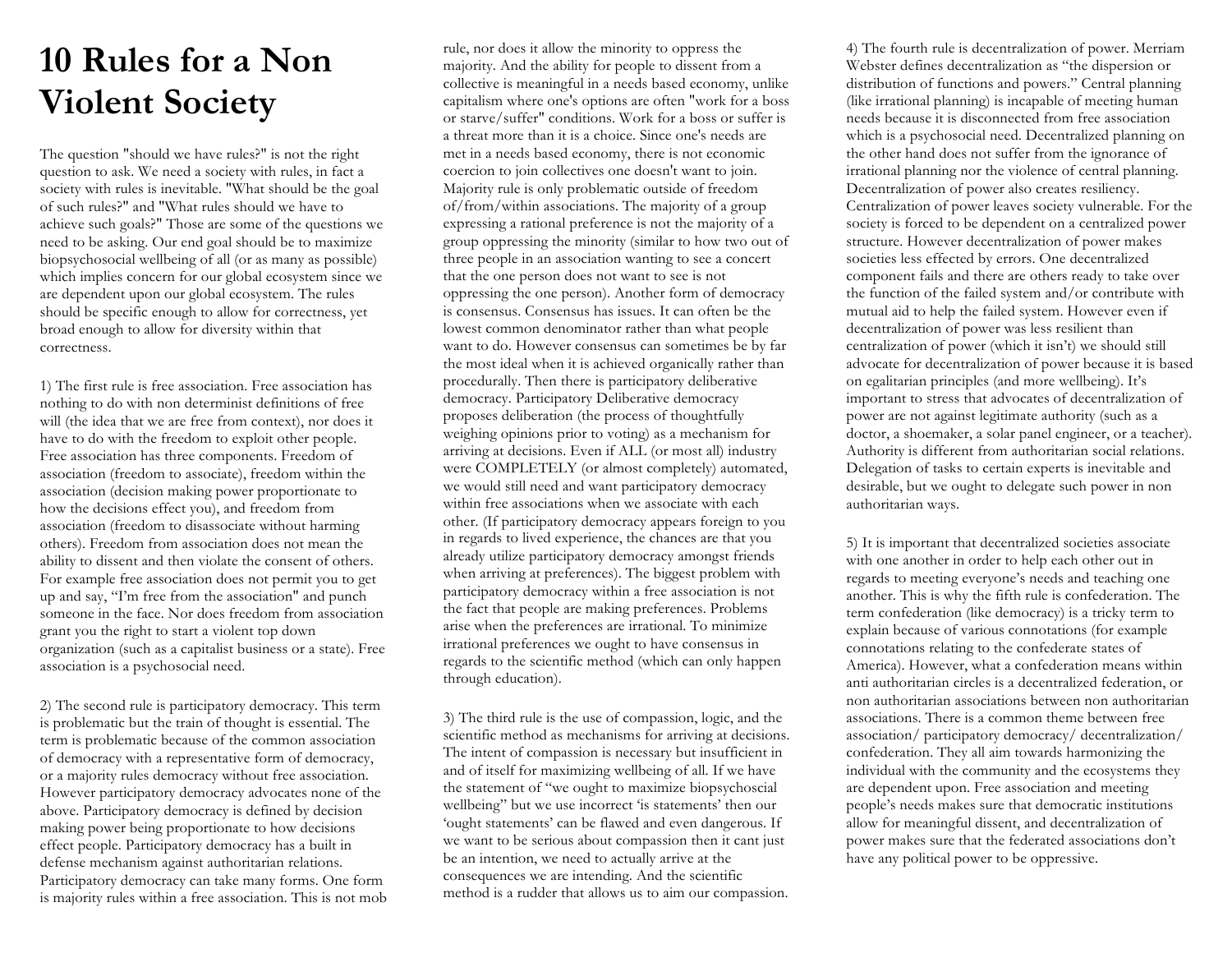## **10 Rules for a Non Violent Society**

The question "should we have rules?" is not the right question to ask. We need a society with rules, in fact a society with rules is inevitable. "What should be the goal of such rules?" and "What rules should we have to achieve such goals?" Those are some of the questions we need to be asking. Our end goal should be to maximize biopsychosocial wellbeing of all (or as many as possible) which implies concern for our global ecosystem since we are dependent upon our global ecosystem. The rules should be specific enough to allow for correctness, yet broad enough to allow for diversity within that correctness.

1) The first rule is free association. Free association has nothing to do with non determinist definitions of free will (the idea that we are free from context), nor does it have to do with the freedom to exploit other people. Free association has three components. Freedom of association (freedom to associate), freedom within the association (decision making power proportionate to how the decisions effect you), and freedom from association (freedom to disassociate without harming others). Freedom from association does not mean the ability to dissent and then violate the consent of others. For example free association does not permit you to get up and say, "I'm free from the association" and punch someone in the face. Nor does freedom from association grant you the right to start a violent top down organization (such as a capitalist business or a state). Free association is a psychosocial need.

2) The second rule is participatory democracy. This term is problematic but the train of thought is essential. The term is problematic because of the common association of democracy with a representative form of democracy, or a majority rules democracy without free association. However participatory democracy advocates none of the above. Participatory democracy is defined by decision making power being proportionate to how decisions effect people. Participatory democracy has a built in defense mechanism against authoritarian relations. Participatory democracy can take many forms. One form is majority rules within a free association. This is not mob

rule, nor does it allow the minority to oppress the majority. And the ability for people to dissent from a collective is meaningful in a needs based economy, unlike capitalism where one's options are often "work for a boss or starve/suffer" conditions. Work for a boss or suffer is a threat more than it is a choice. Since one's needs are met in a needs based economy, there is not economic coercion to join collectives one doesn't want to join. Majority rule is only problematic outside of freedom of/from/within associations. The majority of a group expressing a rational preference is not the majority of a group oppressing the minority (similar to how two out of three people in an association wanting to see a concert that the one person does not want to see is not oppressing the one person). Another form of democracy is consensus. Consensus has issues. It can often be the lowest common denominator rather than what people want to do. However consensus can sometimes be by far the most ideal when it is achieved organically rather than procedurally. Then there is participatory deliberative democracy. Participatory Deliberative democracy proposes deliberation (the process of thoughtfully weighing opinions prior to voting) as a mechanism for arriving at decisions. Even if ALL (or most all) industry were COMPLETELY (or almost completely) automated, we would still need and want participatory democracy within free associations when we associate with each other. (If participatory democracy appears foreign to you in regards to lived experience, the chances are that you already utilize participatory democracy amongst friends when arriving at preferences). The biggest problem with participatory democracy within a free association is not the fact that people are making preferences. Problems arise when the preferences are irrational. To minimize irrational preferences we ought to have consensus in regards to the scientific method (which can only happen through education).

3) The third rule is the use of compassion, logic, and the scientific method as mechanisms for arriving at decisions. The intent of compassion is necessary but insufficient in and of itself for maximizing wellbeing of all. If we have the statement of "we ought to maximize biopsychoscial wellbeing" but we use incorrect 'is statements' then our 'ought statements' can be flawed and even dangerous. If we want to be serious about compassion then it cant just be an intention, we need to actually arrive at the consequences we are intending. And the scientific method is a rudder that allows us to aim our compassion. 4) The fourth rule is decentralization of power. Merriam Webster defines decentralization as "the dispersion or distribution of functions and powers." Central planning (like irrational planning) is incapable of meeting human needs because it is disconnected from free association which is a psychosocial need. Decentralized planning on the other hand does not suffer from the ignorance of irrational planning nor the violence of central planning. Decentralization of power also creates resiliency. Centralization of power leaves society vulnerable. For the society is forced to be dependent on a centralized power structure. However decentralization of power makes societies less effected by errors. One decentralized component fails and there are others ready to take over the function of the failed system and/or contribute with mutual aid to help the failed system. However even if decentralization of power was less resilient than centralization of power (which it isn't) we should still advocate for decentralization of power because it is based on egalitarian principles (and more wellbeing). It's important to stress that advocates of decentralization of power are not against legitimate authority (such as a doctor, a shoemaker, a solar panel engineer, or a teacher). Authority is different from authoritarian social relations. Delegation of tasks to certain experts is inevitable and desirable, but we ought to delegate such power in non authoritarian ways.

5) It is important that decentralized societies associate with one another in order to help each other out in regards to meeting everyone's needs and teaching one another. This is why the fifth rule is confederation. The term confederation (like democracy) is a tricky term to explain because of various connotations (for example connotations relating to the confederate states of America). However, what a confederation means within anti authoritarian circles is a decentralized federation, or non authoritarian associations between non authoritarian associations. There is a common theme between free association/ participatory democracy/ decentralization/ confederation. They all aim towards harmonizing the individual with the community and the ecosystems they are dependent upon. Free association and meeting people's needs makes sure that democratic institutions allow for meaningful dissent, and decentralization of power makes sure that the federated associations don't have any political power to be oppressive.